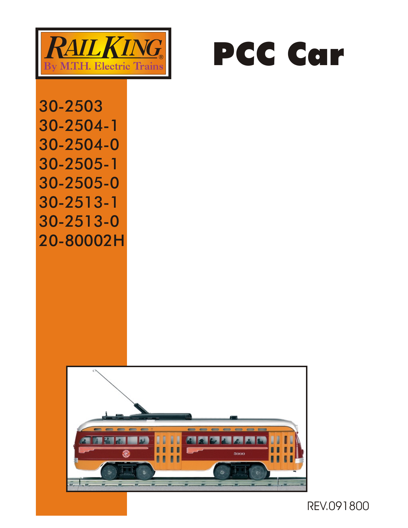



30-2503 30-2504-1 30-2504-0 30-2505-1 30-2505-0 30-2513-1 30-2513-0 20-80002H



REV.091800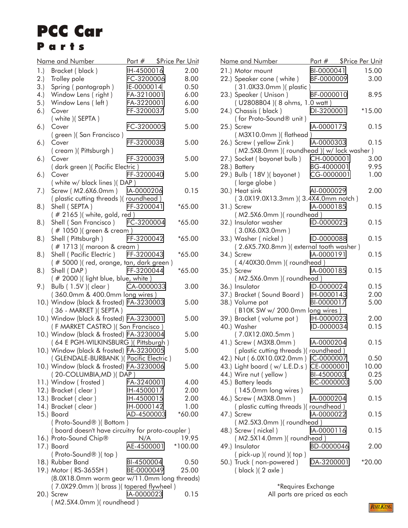## Parts PCC Car

|      | <u>Name and Number</u>                           | <u>Part # \$Price Per Unit</u> |          |
|------|--------------------------------------------------|--------------------------------|----------|
| 1.)  | Bracket (black)                                  | IH-4500016                     | 2.00     |
| 2.)  | Trolley pole                                     | FC-3200006                     | 8.00     |
| 3.)  | Spring (pantograph)                              | IE-0000014                     | 0.50     |
| (4.) | Window Lens (right)                              | FA-3210001                     | 6.00     |
| 5.)  | Window Lens (left)                               | FA-3220001                     | 6.00     |
|      |                                                  | FF-3200037                     | 5.00     |
| 6.)  | Cover                                            |                                |          |
|      | ( white )( SEPTA )                               |                                |          |
| 6.)  | Cover                                            | FC-3200005                     | 5.00     |
|      | (green) (San Francisco)                          |                                |          |
| 6.)  | Cover                                            | FF-3200038                     | 5.00     |
|      | (cream) (Pittsburgh)                             |                                |          |
| 6.)  | Cover                                            | FF-3200039                     | 5.00     |
|      | ( dark green )( Pacific Electric )               |                                |          |
| 6.)  | Cover                                            | FF-3200040                     | 5.00     |
|      | (white w/ black lines )(DAP)                     |                                |          |
| 7.)  | Screw (M2.6X6.0mm) IA-0000206                    |                                | 0.15     |
|      | (plastic cutting threads) (roundhead)            |                                |          |
| 8.)  | Shell (SEPTA)                                    | FF-3200041                     | $*65.00$ |
|      | (# 2165 ) (white, gold, red )                    |                                |          |
| 8.   | Shell (San Francisco)                            | FC-3200004                     | $*65.00$ |
|      | (#1050) (green & cream)                          |                                |          |
| 8.   | Shell (Pittsburgh)                               | FF-3200042                     | $*65.00$ |
|      | (#1713) (maroon & cream)                         |                                |          |
| 8.   | Shell (Pacific Electric)                         | FF-3200043                     | $*65.00$ |
|      | (# 5000 )(red, orange, tan, dark green )         |                                |          |
| 8.   | Shell (DAP)                                      | FF-3200044                     | $*65.00$ |
|      |                                                  |                                |          |
|      | (# 2000 )(light blue, blue, white)               |                                |          |
| 9.)  | Bulb (1.5V) (clear)                              | CA-0000033                     | 3.00     |
|      | (360.0mm & 400.0mm long wires)                   |                                |          |
|      | 10.) Window (black & frosted) FA-3230003         |                                | 5.00     |
|      | (36 - MARKET) (SEPTA)                            |                                |          |
|      | 10.) Window (black & frosted) FA-3230001         |                                | 5.00     |
|      | (F MARKET CASTRO) (San Francisco)                |                                |          |
|      | 10.) Window (black & frosted) FA-3230004         |                                | 5.00     |
|      | (64 E PGH-WILKINSBURG) (Pittsburgh)              |                                |          |
|      | 10.) Window (black & frosted) FA-3230005         |                                | 5.00     |
|      | (GLENDALE-BURBANK) (Pacific Electric)            |                                |          |
|      | 10.) Window (black & frosted) FA-3230006         |                                | 5.00     |
|      | (20-COLUMBIA, MD) (DAP)                          |                                |          |
|      | 11.) Window (frosted)                            | FA-3240001                     | 4.00     |
|      | 12.) Bracket (clear)                             | IH-4500017                     | 2.00     |
|      | 13.) Bracket (clear)                             | IH-4500015                     | 2.00     |
|      | 14.) Bracket (clear)                             | IH-0000142                     | 1.00     |
|      | 15.) Board                                       | AD-4500003                     | $*60.00$ |
|      | (Proto-Sound®) (Bottom)                          |                                |          |
|      | (board doesn't have circuitry for proto-coupler) |                                |          |
|      | 16.) Proto-Sound Chip®                           | N/A                            | 19.95    |
|      | 17.) Board                                       | AE-4500001                     | *100.00  |
|      |                                                  |                                |          |
|      | (Proto-Sound®)(top)                              |                                |          |
|      | 18.) Rubber Band                                 | BI-4500004                     | 0.50     |
|      | 19.) Motor (RS-365SH)                            | BE-0000049                     | 25.00    |
|      | (8.0X18.0mm worm gear w/11.0mm long threads)     |                                |          |
|      | (7.0X29.0mm) (brass) (tapered flywheel)          |                                |          |
|      | 20.) Screw                                       | IA-0000023                     | 0.15     |
|      | (M2.5X4.0mm) (roundhead)                         |                                |          |

|  | <u>Name and Number</u>                                           | Part # \$Price Per Unit |          |
|--|------------------------------------------------------------------|-------------------------|----------|
|  | 21.) Motor mount                                                 | BI-0000041              | 15.00    |
|  | 22.) Speaker cone (white) BF-0000009<br>(31.0X33.0mm) (plastic)  |                         | 3.00     |
|  | 23.) Speaker (Unison)                                            | BF-0000010              | 8.95     |
|  | (U2808B04) (8 ohms, 1.0 watt)                                    |                         |          |
|  | 24.) Chassis (black)<br>(for Proto-Sound® unit)                  | DI-3200001              | $*15.00$ |
|  | 25.) Screw<br>(M3X10.0mm) (flathead)                             | IA-0000175              | 0.15     |
|  | 26.) Screw (yellow Zink)                                         | IA-0000303              | 0.15     |
|  | (M2.5X8.0mm) (roundhead) (w/lock washer)                         |                         |          |
|  | 27.) Socket (bayonet bulb)                                       | CH-0000001              | 3.00     |
|  | 28.) Battery                                                     | BG-4000001              | 9.95     |
|  | 29.) Bulb (18V) (bayonet)<br>(large globe)                       | CG-0000001              | 1.00     |
|  | 30.) Heat sink                                                   | Al-0000029              | 2.00     |
|  | (3.0X19.0X13.3mm) (3.4X4.0mm notch)                              |                         |          |
|  | 31.) Screw                                                       | IA-0000185              | 0.15     |
|  | (M2.5X6.0mm) (roundhead)                                         |                         |          |
|  | 32.) Insulator washer<br>(3.0X6.0X3.0mm)                         | ID-0000025              | 0.15     |
|  | 33.) Washer (nickel)                                             | ID-0000088              | 0.15     |
|  | (2.6X5.7X0.8mm) (external tooth washer)                          |                         |          |
|  | 34.) Screw<br>(4/40X30.0mm) (roundhead)                          | IA-0000191              | 0.15     |
|  | 35.) Screw                                                       | IA-0000185              | 0.15     |
|  | (M2.5X6.0mm) (roundhead)                                         |                         |          |
|  | 36.) Insulator                                                   | ID-0000024              | 0.15     |
|  | 37.) Bracket (Sound Board) IH-0000143                            |                         | 2.00     |
|  | 38.) Volume pot                                                  | BI-0000017              | 5.00     |
|  |                                                                  |                         |          |
|  | (B10K SW w/ 200.0mm long wires)                                  |                         |          |
|  | 39.) Bracket (volume pot)                                        | IH-0000023              | 2.00     |
|  | 40.) Washer<br>(7.0X12.0X0.5mm)                                  | ID-0000034              | 0.15     |
|  | 41.) Screw ( M3X8.0mm )                                          | IA-0000204              | 0.15     |
|  | (plastic cutting threads) (roundhead)                            |                         |          |
|  | 42.) Nut (6.0X10.0X2.0mm) IC-0000007                             |                         | 0.50     |
|  | 43.) Light board (w/ L.E.D.s) CE-0000001                         |                         | 10.00    |
|  | 44.) Wire nut (yellow)                                           | BI-4500003              | 0.25     |
|  | 45.) Battery leads                                               | BC-0000003              | 5.00     |
|  | $(145.0mm$ long wires)                                           |                         |          |
|  | 46.) Screw ( M3X8.0mm )<br>(plastic cutting threads) (roundhead) | IA-0000204              | 0.15     |
|  | 47.) Screw<br>(M2.5X3.0mm) (roundhead)                           | IA-0000022              | 0.15     |
|  |                                                                  | IA-0000116              | 0.15     |
|  | 48.) Screw (nickel)                                              |                         |          |
|  | (M2.5X14.0mm) (roundhead)                                        |                         |          |
|  | 49.) Insulator<br>$( pick-up)(round)(top)$                       | BD-0000046              | 2.00     |
|  | 50.) Truck (non-powered)<br>(black) (2 axle)                     | DA-3200001              | $*20.00$ |
|  |                                                                  |                         |          |

 \*Requires Exchange All parts are priced as each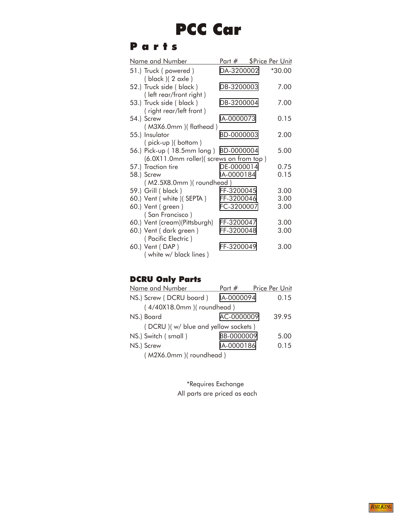## PCC Car

## Parts

| <u>Name and Number</u>                                                           | Part # \$Price Per Unit |          |
|----------------------------------------------------------------------------------|-------------------------|----------|
| 51.) Truck (powered)<br>( black)(2 axle)                                         | DA-3200002              | $*30.00$ |
| 52.) Truck side (black)<br>(left rear/front right)                               | DB-3200003              | 7.00     |
| 53.) Truck side (black)<br>(right rear/left front)                               | DB-3200004              | 7.00     |
| 54.) Screw<br>(M3X6.0mm) (flathead)                                              | IA-0000073              | 0.15     |
| 55.) Insulator<br>(pick-up) (bottom)                                             | BD-0000003              | 2.00     |
| 56.) Pick-up (18.5mm long) BD-0000004<br>(6.0X11.0mm roller)(screws on from top) |                         | 5.00     |
| 57.) Traction tire                                                               | DE-0000014              | 0.75     |
| 58.) Screw                                                                       | IA-0000184              | 0.15     |
| (M2.5X8.0mm) (roundhead)                                                         |                         |          |
| 59.) Grill (black)                                                               | FF-3200045              | 3.00     |
| 60.) Vent (white ) (SEPTA)                                                       | FF-3200046              | 3.00     |
| 60.) Vent (green)<br>(San Francisco)                                             | FC-3200007              | 3.00     |
| 60.) Vent (cream)(Pittsburgh)                                                    | FF-3200047              | 3.00     |
| 60.) Vent (dark green)<br>(Pacific Electric)                                     | FF-3200048              | 3.00     |
| 60.) Vent (DAP)<br>(white w/ black lines)                                        | FF-3200049              | 3.00     |

## DCRU Only Parts

| Name and Number                     | Part #     | Price Per Unit |  |  |
|-------------------------------------|------------|----------------|--|--|
| NS.) Screw (DCRU board)             | IA-0000094 | 0.15           |  |  |
| (4/40X18.0mm) (roundhead)           |            |                |  |  |
| NS.) Board                          | AC-0000009 | 39.95          |  |  |
| (DCRU) (w/ blue and yellow sockets) |            |                |  |  |
| NS.) Switch (small)                 | BB-0000009 | 5.00           |  |  |
| NS.) Screw                          | IA-0000186 | 0.15           |  |  |
| (M2X6.0mm) (roundhead)              |            |                |  |  |

 \*Requires Exchange All parts are priced as each